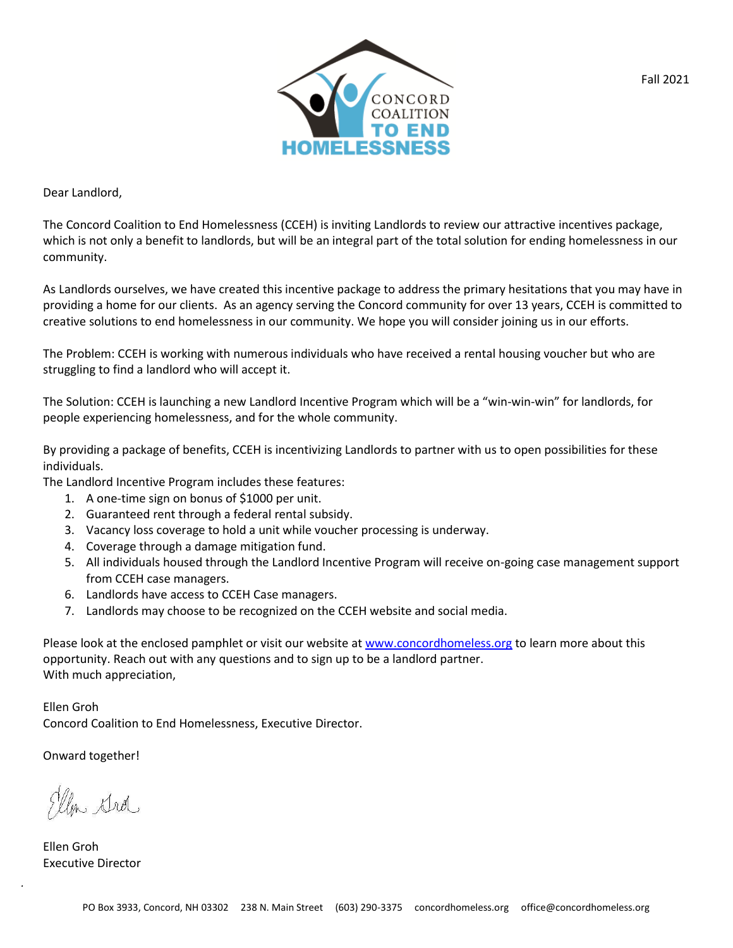

Dear Landlord,

The Concord Coalition to End Homelessness (CCEH) is inviting Landlords to review our attractive incentives package, which is not only a benefit to landlords, but will be an integral part of the total solution for ending homelessness in our community.

As Landlords ourselves, we have created this incentive package to address the primary hesitations that you may have in providing a home for our clients. As an agency serving the Concord community for over 13 years, CCEH is committed to creative solutions to end homelessness in our community. We hope you will consider joining us in our efforts.

The Problem: CCEH is working with numerous individuals who have received a rental housing voucher but who are struggling to find a landlord who will accept it.

The Solution: CCEH is launching a new Landlord Incentive Program which will be a "win-win-win" for landlords, for people experiencing homelessness, and for the whole community.

By providing a package of benefits, CCEH is incentivizing Landlords to partner with us to open possibilities for these individuals.

The Landlord Incentive Program includes these features:

- 1. A one-time sign on bonus of \$1000 per unit.
- 2. Guaranteed rent through a federal rental subsidy.
- 3. Vacancy loss coverage to hold a unit while voucher processing is underway.
- 4. Coverage through a damage mitigation fund.
- 5. All individuals housed through the Landlord Incentive Program will receive on-going case management support from CCEH case managers.
- 6. Landlords have access to CCEH Case managers.
- 7. Landlords may choose to be recognized on the CCEH website and social media.

Please look at the enclosed pamphlet or visit our website at www.concordhomeless.org to learn more about this opportunity. Reach out with any questions and to sign up to be a landlord partner. With much appreciation,

Ellen Groh Concord Coalition to End Homelessness, Executive Director.

Onward together!

la strol

Ellen Groh Executive Director

*.*